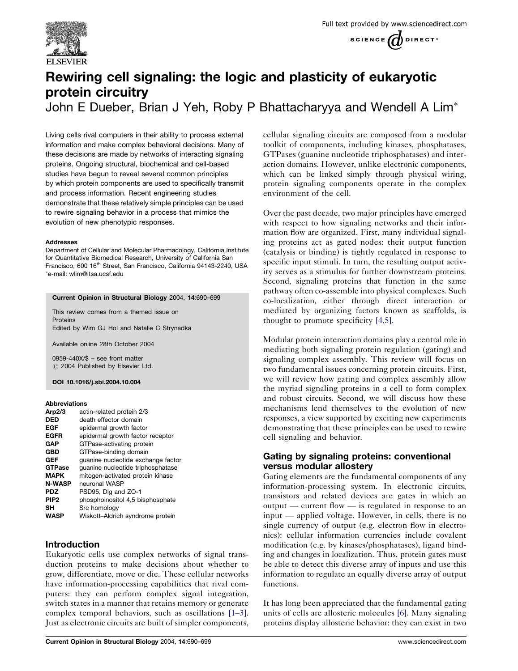

# Rewiring cell signaling: the logic and plasticity of eukaryotic protein circuitry

John E Dueber, Brian J Yeh, Roby P Bhattacharyya and Wendell A Lim

Living cells rival computers in their ability to process external information and make complex behavioral decisions. Many of these decisions are made by networks of interacting signaling proteins. Ongoing structural, biochemical and cell-based studies have begun to reveal several common principles by which protein components are used to specifically transmit and process information. Recent engineering studies demonstrate that these relatively simple principles can be used to rewire signaling behavior in a process that mimics the evolution of new phenotypic responses.

#### Addresses

Department of Cellular and Molecular Pharmacology, California Institute for Quantitative Biomedical Research, University of California San Francisco, 600 16<sup>th</sup> Street, San Francisco, California 94143-2240, USA e-mail: wlim@itsa.ucsf.edu

#### Current Opinion in Structural Biology 2004, 14:690–699

This review comes from a themed issue on **Proteins** Edited by Wim GJ Hol and Natalie C Strynadka

Available online 28th October 2004

0959-440X/\$ – see front matter  $\oslash$  2004 Published by Elsevier Ltd.

DOI 10.1016/j.sbi.2004.10.004

#### **Abbreviations**

| Arp2/3           | actin-related protein 2/3          |
|------------------|------------------------------------|
| <b>DED</b>       | death effector domain              |
| EGF              | epidermal growth factor            |
| <b>EGFR</b>      | epidermal growth factor receptor   |
| <b>GAP</b>       | GTPase-activating protein          |
| GBD              | GTPase-binding domain              |
| <b>GEF</b>       | quanine nucleotide exchange factor |
| <b>GTPase</b>    | quanine nucleotide triphosphatase  |
| <b>MAPK</b>      | mitogen-activated protein kinase   |
| <b>N-WASP</b>    | neuronal WASP                      |
| PDZ              | PSD95, Dlg and ZO-1                |
| PIP <sub>2</sub> | phosphoinositol 4,5 bisphosphate   |
| <b>SH</b>        | Src homology                       |
| WASP             | Wiskott-Aldrich syndrome protein   |

# Introduction

Eukaryotic cells use complex networks of signal transduction proteins to make decisions about whether to grow, differentiate, move or die. These cellular networks have information-processing capabilities that rival computers: they can perform complex signal integration, switch states in a manner that retains memory or generate complex temporal behaviors, such as oscillations [\[1–3\].](#page-7-0) Just as electronic circuits are built of simpler components, cellular signaling circuits are composed from a modular toolkit of components, including kinases, phosphatases, GTPases (guanine nucleotide triphosphatases) and interaction domains. However, unlike electronic components, which can be linked simply through physical wiring, protein signaling components operate in the complex environment of the cell.

Over the past decade, two major principles have emerged with respect to how signaling networks and their information flow are organized. First, many individual signaling proteins act as gated nodes: their output function (catalysis or binding) is tightly regulated in response to specific input stimuli. In turn, the resulting output activity serves as a stimulus for further downstream proteins. Second, signaling proteins that function in the same pathway often co-assemble into physical complexes. Such co-localization, either through direct interaction or mediated by organizing factors known as scaffolds, is thought to promote specificity [\[4,5\]](#page-7-0).

Modular protein interaction domains play a central role in mediating both signaling protein regulation (gating) and signaling complex assembly. This review will focus on two fundamental issues concerning protein circuits. First, we will review how gating and complex assembly allow the myriad signaling proteins in a cell to form complex and robust circuits. Second, we will discuss how these mechanisms lend themselves to the evolution of new responses, a view supported by exciting new experiments demonstrating that these principles can be used to rewire cell signaling and behavior.

# Gating by signaling proteins: conventional versus modular allostery

Gating elements are the fundamental components of any information-processing system. In electronic circuits, transistors and related devices are gates in which an output — current flow — is regulated in response to an input — applied voltage. However, in cells, there is no single currency of output (e.g. electron flow in electronics): cellular information currencies include covalent modification (e.g. by kinases/phosphatases), ligand binding and changes in localization. Thus, protein gates must be able to detect this diverse array of inputs and use this information to regulate an equally diverse array of output functions.

It has long been appreciated that the fundamental gating units of cells are allosteric molecules [\[6\]](#page-8-0). Many signaling proteins display allosteric behavior: they can exist in two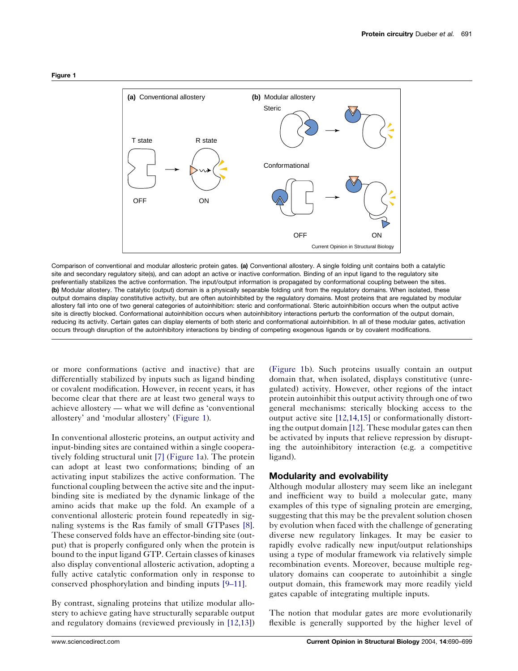



Comparison of conventional and modular allosteric protein gates. (a) Conventional allostery. A single folding unit contains both a catalytic site and secondary regulatory site(s), and can adopt an active or inactive conformation. Binding of an input ligand to the regulatory site preferentially stabilizes the active conformation. The input/output information is propagated by conformational coupling between the sites. (b) Modular allostery. The catalytic (output) domain is a physically separable folding unit from the regulatory domains. When isolated, these output domains display constitutive activity, but are often autoinhibited by the regulatory domains. Most proteins that are regulated by modular allostery fall into one of two general categories of autoinhibition: steric and conformational. Steric autoinhibition occurs when the output active site is directly blocked. Conformational autoinhibition occurs when autoinhibitory interactions perturb the conformation of the output domain, reducing its activity. Certain gates can display elements of both steric and conformational autoinhibition. In all of these modular gates, activation occurs through disruption of the autoinhibitory interactions by binding of competing exogenous ligands or by covalent modifications.

or more conformations (active and inactive) that are differentially stabilized by inputs such as ligand binding or covalent modification. However, in recent years, it has become clear that there are at least two general ways to achieve allostery — what we will define as 'conventional allostery' and 'modular allostery' (Figure 1).

In conventional allosteric proteins, an output activity and input-binding sites are contained within a single cooperatively folding structural unit [\[7\]](#page-8-0) (Figure 1a). The protein can adopt at least two conformations; binding of an activating input stabilizes the active conformation. The functional coupling between the active site and the inputbinding site is mediated by the dynamic linkage of the amino acids that make up the fold. An example of a conventional allosteric protein found repeatedly in signaling systems is the Ras family of small GTPases [\[8\].](#page-8-0) These conserved folds have an effector-binding site (output) that is properly configured only when the protein is bound to the input ligand GTP. Certain classes of kinases also display conventional allosteric activation, adopting a fully active catalytic conformation only in response to conserved phosphorylation and binding inputs [\[9–11\].](#page-8-0)

By contrast, signaling proteins that utilize modular allostery to achieve gating have structurally separable output and regulatory domains (reviewed previously in [\[12,13\]\)](#page-8-0) (Figure 1b). Such proteins usually contain an output domain that, when isolated, displays constitutive (unregulated) activity. However, other regions of the intact protein autoinhibit this output activity through one of two general mechanisms: sterically blocking access to the output active site [\[12,14,15\]](#page-8-0) or conformationally distorting the output domain [\[12\]](#page-8-0). These modular gates can then be activated by inputs that relieve repression by disrupting the autoinhibitory interaction (e.g. a competitive ligand).

# Modularity and evolvability

Although modular allostery may seem like an inelegant and inefficient way to build a molecular gate, many examples of this type of signaling protein are emerging, suggesting that this may be the prevalent solution chosen by evolution when faced with the challenge of generating diverse new regulatory linkages. It may be easier to rapidly evolve radically new input/output relationships using a type of modular framework via relatively simple recombination events. Moreover, because multiple regulatory domains can cooperate to autoinhibit a single output domain, this framework may more readily yield gates capable of integrating multiple inputs.

The notion that modular gates are more evolutionarily flexible is generally supported by the higher level of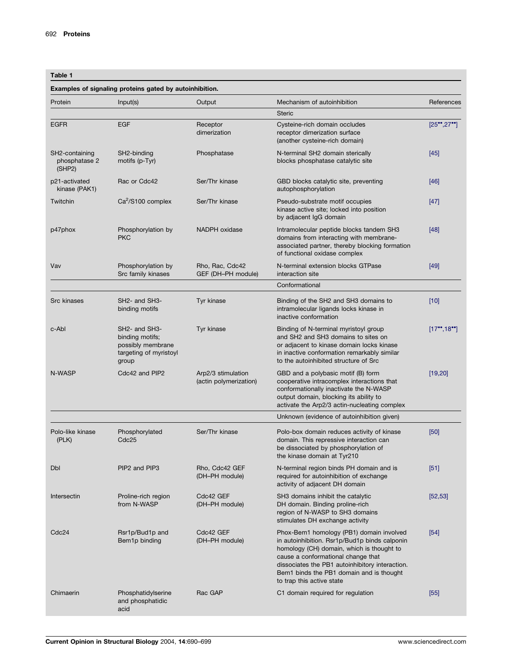#### <span id="page-2-0"></span>Table 1

#### Examples of signaling proteins gated by autoinhibition. Protein **Input(s)** Cutput Output Mechanism of autoinhibition References **Steric** EGFR EGF Receptor dimerization Cysteine-rich domain occludes receptor dimerization surface (another cysteine-rich domain)  $[25$ <sup>\*</sup>[,27](#page-8-0)<sup>\*</sup>[\]](#page-8-0) SH2-containing phosphatase 2 (SHP2) SH2-binding motifs (p-Tyr) Phosphatase **N-terminal SH2 domain sterically** blocks phosphatase catalytic site [\[45\]](#page-9-0) p21-activated kinase (PAK1) Rac or Cdc42 Ser/Thr kinase GBD blocks catalytic site, preventing autophosphorylation [\[46\]](#page-9-0) Twitchin  $Ca<sup>2</sup>/S100$  complex Ser/Thr kinase **Pseudo-substrate motif occupies** kinase active site; locked into position by adjacent IgG domain [\[47\]](#page-9-0) p47phox Phosphorylation by PKC NADPH oxidase Intramolecular peptide blocks tandem SH3 domains from interacting with membraneassociated partner, thereby blocking formation of functional oxidase complex [\[48\]](#page-9-0) Vav Phosphorylation by Src family kinases Rho, Rac, Cdc42 GEF (DH–PH module) N-terminal extension blocks GTPase interaction site [\[49\]](#page-9-0) Conformational Src kinases SH2- and SH3binding motifs Tyr kinase Binding of the SH2 and SH3 domains to intramolecular ligands locks kinase in inactive conformation [\[10\]](#page-8-0) c-Abl SH2- and SH3 binding motifs; possibly membrane targeting of myristoyl group Tyr kinase **Binding of N-terminal myristoyl group** and SH2 and SH3 domains to sites on or adjacent to kinase domain locks kinase in inactive conformation remarkably similar to the autoinhibited structure of Src  $[17$ <sup>\*</sup>\*[,18](#page-8-0)<sup>\*</sup>\*[\]](#page-8-0) N-WASP Cdc42 and PIP2 Arp2/3 stimulation (actin polymerization) GBD and a polybasic motif (B) form cooperative intracomplex interactions that conformationally inactivate the N-WASP output domain, blocking its ability to activate the Arp2/3 actin-nucleating complex [\[19,20\]](#page-8-0) Unknown (evidence of autoinhibition given) Polo-like kinase (PLK) Phosphorylated Cdc<sub>25</sub> Ser/Thr kinase **Polo-box domain reduces activity of kinase** domain. This repressive interaction can be dissociated by phosphorylation of the kinase domain at Tyr210 [\[50\]](#page-9-0) Dbl PIP2 and PIP3 Rho, Cdc42 GEF (DH–PH module) N-terminal region binds PH domain and is required for autoinhibition of exchange activity of adjacent DH domain [\[51\]](#page-9-0) Intersectin Proline-rich region from N-WASP Cdc42 GEF (DH–PH module) SH3 domains inhibit the catalytic DH domain. Binding proline-rich region of N-WASP to SH3 domains stimulates DH exchange activity [\[52,53\]](#page-9-0) Cdc24 Rsr1p/Bud1p and Bem1p binding Cdc42 GEF (DH–PH module) Phox-Bem1 homology (PB1) domain involved in autoinhibition. Rsr1p/Bud1p binds calponin homology (CH) domain, which is thought to cause a conformational change that dissociates the PB1 autoinhibitory interaction. Bem1 binds the PB1 domain and is thought to trap this active state [\[54\]](#page-9-0) Chimaerin Phosphatidylserine and phosphatidic acid Rac GAP **C1** domain required for required for  $\frac{1}{55}$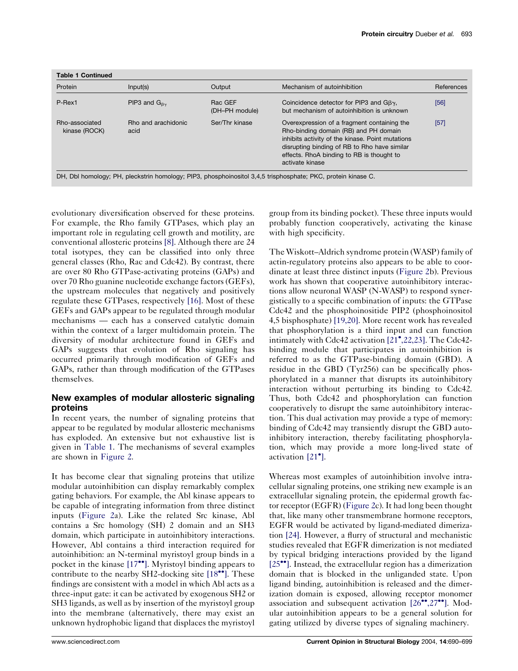| <b>Table 1 Continued</b>        |                             |                           |                                                                                                                                                                                                                                                          |            |  |
|---------------------------------|-----------------------------|---------------------------|----------------------------------------------------------------------------------------------------------------------------------------------------------------------------------------------------------------------------------------------------------|------------|--|
| Protein                         | Input(s)                    | Output                    | Mechanism of autoinhibition                                                                                                                                                                                                                              | References |  |
| P-Rex1                          | PIP3 and $G_{Bv}$           | Rac GEF<br>(DH-PH module) | Coincidence detector for PIP3 and $G\beta\gamma$ ,<br>but mechanism of autoinhibition is unknown                                                                                                                                                         | [56]       |  |
| Rho-associated<br>kinase (ROCK) | Rho and arachidonic<br>acid | Ser/Thr kinase            | Overexpression of a fragment containing the<br>Rho-binding domain (RB) and PH domain<br>inhibits activity of the kinase. Point mutations<br>disrupting binding of RB to Rho have similar<br>effects. RhoA binding to RB is thought to<br>activate kinase | [57]       |  |

evolutionary diversification observed for these proteins. For example, the Rho family GTPases, which play an important role in regulating cell growth and motility, are conventional allosteric proteins [\[8\].](#page-8-0) Although there are 24 total isotypes, they can be classified into only three general classes (Rho, Rac and Cdc42). By contrast, there are over 80 Rho GTPase-activating proteins (GAPs) and over 70 Rho guanine nucleotide exchange factors (GEFs), the upstream molecules that negatively and positively regulate these GTPases, respectively [\[16\].](#page-8-0) Most of these GEFs and GAPs appear to be regulated through modular mechanisms — each has a conserved catalytic domain within the context of a larger multidomain protein. The diversity of modular architecture found in GEFs and GAPs suggests that evolution of Rho signaling has occurred primarily through modification of GEFs and GAPs, rather than through modification of the GTPases themselves.

# New examples of modular allosteric signaling proteins

In recent years, the number of signaling proteins that appear to be regulated by modular allosteric mechanisms has exploded. An extensive but not exhaustive list is given in [Table 1](#page-2-0). The mechanisms of several examples are shown in [Figure 2.](#page-4-0)

It has become clear that signaling proteins that utilize modular autoinhibition can display remarkably complex gating behaviors. For example, the Abl kinase appears to be capable of integrating information from three distinct inputs [\(Figure 2](#page-4-0)a). Like the related Src kinase, Abl contains a Src homology (SH) 2 domain and an SH3 domain, which participate in autoinhibitory interactions. However, Abl contains a third interaction required for autoinhibition: an N-terminal myristoyl group binds in a pocket in the kinase [\[17](#page-8-0)\*\*[\]](#page-8-0). Myristoyl binding appears to contribute to the nearby SH2-docking site  $[18\text{--}^\bullet]$  $[18\text{--}^\bullet]$ . These findings are consistent with a model in which Abl acts as a three-input gate: it can be activated by exogenous SH2 or SH3 ligands, as well as by insertion of the myristoyl group into the membrane (alternatively, there may exist an unknown hydrophobic ligand that displaces the myristoyl group from its binding pocket). These three inputs would probably function cooperatively, activating the kinase with high specificity.

The Wiskott–Aldrich syndrome protein (WASP) family of actin-regulatory proteins also appears to be able to coordinate at least three distinct inputs ([Figure 2b](#page-4-0)). Previous work has shown that cooperative autoinhibitory interactions allow neuronal WASP (N-WASP) to respond synergistically to a specific combination of inputs: the GTPase Cdc42 and the phosphoinositide PIP2 (phosphoinositol 4,5 bisphosphate) [\[19,20\].](#page-8-0) More recent work has revealed that phosphorylation is a third input and can function intimately with Cdc42 activation [\[21](#page-8-0)<sup>°</sup>[,22,23\].](#page-8-0) The Cdc42binding module that participates in autoinhibition is referred to as the GTPase-binding domain (GBD). A residue in the GBD (Tyr256) can be specifically phosphorylated in a manner that disrupts its autoinhibitory interaction without perturbing its binding to Cdc42. Thus, both Cdc42 and phosphorylation can function cooperatively to disrupt the same autoinhibitory interaction. This dual activation may provide a type of memory: binding of Cdc42 may transiently disrupt the GBD autoinhibitory interaction, thereby facilitating phosphorylation, which may provide a more long-lived state of activation [\[21](#page-8-0)<sup>°</sup>[\]](#page-8-0).

Whereas most examples of autoinhibition involve intracellular signaling proteins, one striking new example is an extracellular signaling protein, the epidermal growth factor receptor (EGFR) ([Figure 2c](#page-4-0)). It had long been thought that, like many other transmembrane hormone receptors, EGFR would be activated by ligand-mediated dimerization [\[24\]](#page-8-0). However, a flurry of structural and mechanistic studies revealed that EGFR dimerization is not mediated by typical bridging interactions provided by the ligand [\[25](#page-8-0)<sup>••</sup>[\]](#page-8-0). Instead, the extracellular region has a dimerization domain that is blocked in the unliganded state. Upon ligand binding, autoinhibition is released and the dimerization domain is exposed, allowing receptor monomer association and subsequent activation [\[26](#page-8-0)<sup>••</sup>[,27](#page-8-0)<sup>••</sup>[\]](#page-8-0). Modular autoinhibition appears to be a general solution for gating utilized by diverse types of signaling machinery.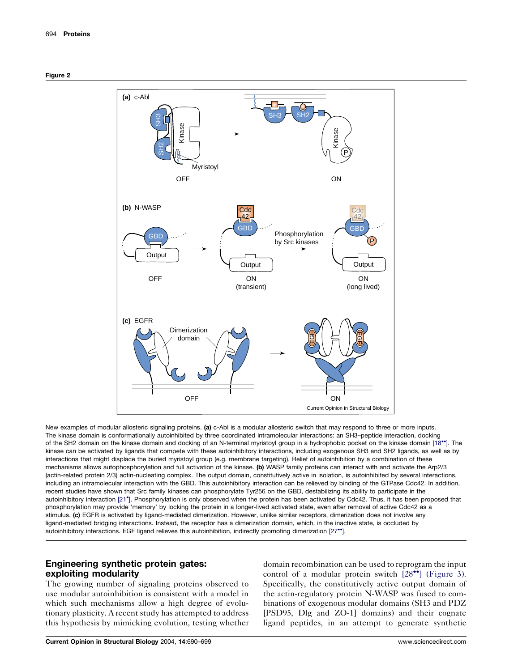<span id="page-4-0"></span>



New examples of modular allosteric signaling proteins. (a) c-Abl is a modular allosteric switch that may respond to three or more inputs. The kinase domain is conformationally autoinhibited by three coordinated intramolecular interactions: an SH3–peptide interaction, docking of the SH2 domain on the kinase domain and docking of an N-terminal myristoyl group in a hydrophobic pocket on the kinase domain [\[18](#page-8-0)<sup>\*</sup>[\]](#page-8-0). The kinase can be activated by ligands that compete with these autoinhibitory interactions, including exogenous SH3 and SH2 ligands, as well as by interactions that might displace the buried myristoyl group (e.g. membrane targeting). Relief of autoinhibition by a combination of these mechanisms allows autophosphorylation and full activation of the kinase. (b) WASP family proteins can interact with and activate the Arp2/3 (actin-related protein 2/3) actin-nucleating complex. The output domain, constitutively active in isolation, is autoinhibited by several interactions, including an intramolecular interaction with the GBD. This autoinhibitory interaction can be relieved by binding of the GTPase Cdc42. In addition, recent studies have shown that Src family kinases can phosphorylate Tyr256 on the GBD, destabilizing its ability to participate in the autoinhibitory interaction [\[21](#page-8-0)\*[\]](#page-8-0). Phosphorylation is only observed when the protein has been activated by Cdc42. Thus, it has been proposed that phosphorylation may provide 'memory' by locking the protein in a longer-lived activated state, even after removal of active Cdc42 as a stimulus. (c) EGFR is activated by ligand-mediated dimerization. However, unlike similar receptors, dimerization does not involve any ligand-mediated bridging interactions. Instead, the receptor has a dimerization domain, which, in the inactive state, is occluded by autoinhibitory interactions. EGF ligand relieves this autoinhibition, indirectly promoting dimerization [\[27](#page-8-0)<sup>\*</sup>[\].](#page-8-0)

# Engineering synthetic protein gates: exploiting modularity

The growing number of signaling proteins observed to use modular autoinhibition is consistent with a model in which such mechanisms allow a high degree of evolutionary plasticity. A recent study has attempted to address this hypothesis by mimicking evolution, testing whether

domain recombination can be used to reprogram the input control of a modular protein switch  $[28\text{'''}]$  $[28\text{'''}]$  $[28\text{'''}]$  [\(Figure 3](#page-5-0)). Specifically, the constitutively active output domain of the actin-regulatory protein N-WASP was fused to combinations of exogenous modular domains (SH3 and PDZ [PSD95, Dlg and ZO-1] domains) and their cognate ligand peptides, in an attempt to generate synthetic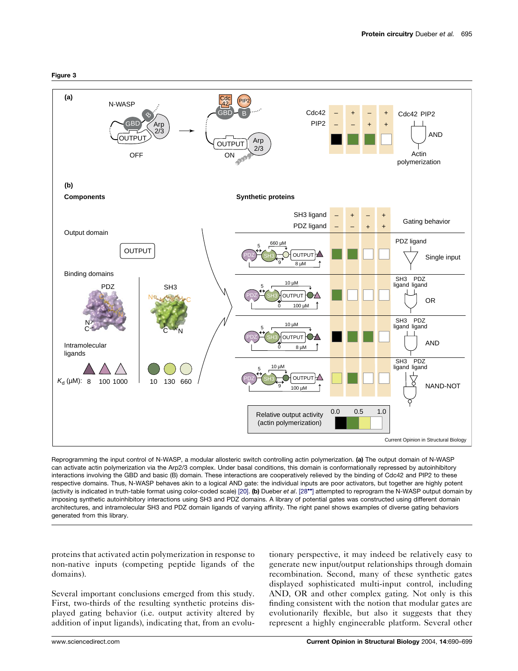<span id="page-5-0"></span>



Reprogramming the input control of N-WASP, a modular allosteric switch controlling actin polymerization. (a) The output domain of N-WASP can activate actin polymerization via the Arp2/3 complex. Under basal conditions, this domain is conformationally repressed by autoinhibitory interactions involving the GBD and basic (B) domain. These interactions are cooperatively relieved by the binding of Cdc42 and PIP2 to these respective domains. Thus, N-WASP behaves akin to a logical AND gate: the individual inputs are poor activators, but together are highly potent (activity is indicated in truth-table format using color-coded scale) [\[20\].](#page-8-0) (b) Dueber et al. [\[28](#page-8-0)<sup>\*</sup>[\]](#page-8-0) attempted to reprogram the N-WASP output domain by imposing synthetic autoinhibitory interactions using SH3 and PDZ domains. A library of potential gates was constructed using different domain architectures, and intramolecular SH3 and PDZ domain ligands of varying affinity. The right panel shows examples of diverse gating behaviors generated from this library.

proteins that activated actin polymerization in response to non-native inputs (competing peptide ligands of the domains).

Several important conclusions emerged from this study. First, two-thirds of the resulting synthetic proteins displayed gating behavior (i.e. output activity altered by addition of input ligands), indicating that, from an evolutionary perspective, it may indeed be relatively easy to generate new input/output relationships through domain recombination. Second, many of these synthetic gates displayed sophisticated multi-input control, including AND, OR and other complex gating. Not only is this finding consistent with the notion that modular gates are evolutionarily flexible, but also it suggests that they represent a highly engineerable platform. Several other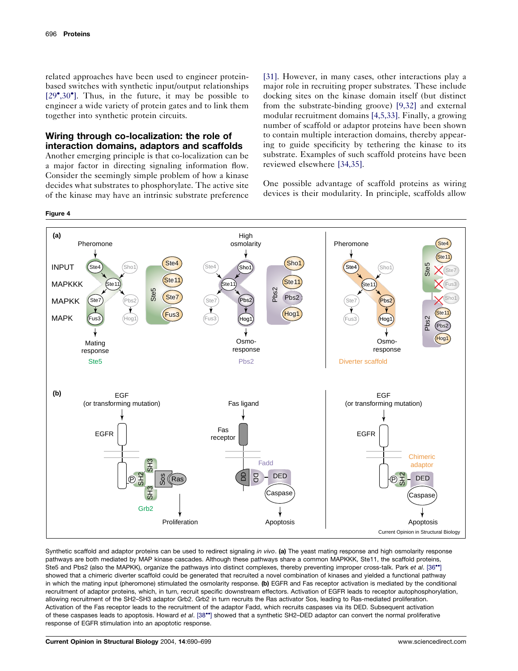<span id="page-6-0"></span>related approaches have been used to engineer proteinbased switches with synthetic input/output relationships [\[29](#page-8-0)°[,30](#page-8-0)°[\]](#page-8-0). Thus, in the future, it may be possible to engineer a wide variety of protein gates and to link them together into synthetic protein circuits.

## Wiring through co-localization: the role of interaction domains, adaptors and scaffolds

Another emerging principle is that co-localization can be a major factor in directing signaling information flow. Consider the seemingly simple problem of how a kinase decides what substrates to phosphorylate. The active site of the kinase may have an intrinsic substrate preference

[\[31\].](#page-8-0) However, in many cases, other interactions play a major role in recruiting proper substrates. These include docking sites on the kinase domain itself (but distinct from the substrate-binding groove) [\[9,32\]](#page-8-0) and external modular recruitment domains [\[4,5,33\].](#page-7-0) Finally, a growing number of scaffold or adaptor proteins have been shown to contain multiple interaction domains, thereby appearing to guide specificity by tethering the kinase to its substrate. Examples of such scaffold proteins have been reviewed elsewhere [\[34,35\]](#page-8-0).

One possible advantage of scaffold proteins as wiring devices is their modularity. In principle, scaffolds allow



Synthetic scaffold and adaptor proteins can be used to redirect signaling in vivo. (a) The yeast mating response and high osmolarity response pathways are both mediated by MAP kinase cascades. Although these pathways share a common MAPKKK, Ste11, the scaffold proteins, Ste5 and Pbs2 (also the MAPKK), organize the pathways into distinct complexes, thereby preventing improper cross-talk. Park et al. [\[36](#page-8-0)<sup>\*</sup>[\]](#page-8-0) showed that a chimeric diverter scaffold could be generated that recruited a novel combination of kinases and yielded a functional pathway in which the mating input (pheromone) stimulated the osmolarity response. (b) EGFR and Fas receptor activation is mediated by the conditional recruitment of adaptor proteins, which, in turn, recruit specific downstream effectors. Activation of EGFR leads to receptor autophosphorylation, allowing recruitment of the SH2–SH3 adaptor Grb2. Grb2 in turn recruits the Ras activator Sos, leading to Ras-mediated proliferation. Activation of the Fas receptor leads to the recruitment of the adaptor Fadd, which recruits caspases via its DED. Subsequent activation of these caspases leads to apoptosis. Howard et al. [\[38](#page-9-0)\*[\]](#page-9-0) showed that a synthetic SH2-DED adaptor can convert the normal proliferative response of EGFR stimulation into an apoptotic response.

### Figure 4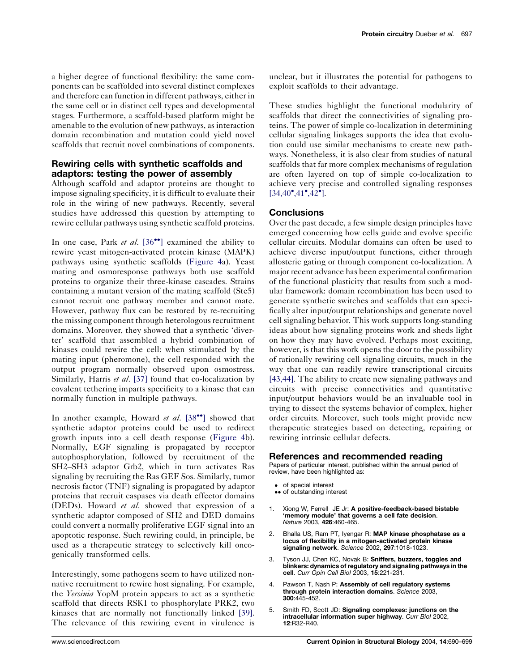<span id="page-7-0"></span>a higher degree of functional flexibility: the same components can be scaffolded into several distinct complexes and therefore can function in different pathways, either in the same cell or in distinct cell types and developmental stages. Furthermore, a scaffold-based platform might be amenable to the evolution of new pathways, as interaction domain recombination and mutation could yield novel scaffolds that recruit novel combinations of components.

# Rewiring cells with synthetic scaffolds and adaptors: testing the power of assembly

Although scaffold and adaptor proteins are thought to impose signaling specificity, it is difficult to evaluate their role in the wiring of new pathways. Recently, several studies have addressed this question by attempting to rewire cellular pathways using synthetic scaffold proteins.

In one case, Park et al. [\[36](#page-8-0)<sup>••</sup>[\]](#page-8-0) examined the ability to rewire yeast mitogen-activated protein kinase (MAPK) pathways using synthetic scaffolds ([Figure 4a](#page-6-0)). Yeast mating and osmoresponse pathways both use scaffold proteins to organize their three-kinase cascades. Strains containing a mutant version of the mating scaffold (Ste5) cannot recruit one pathway member and cannot mate. However, pathway flux can be restored by re-recruiting the missing component through heterologous recruitment domains. Moreover, they showed that a synthetic 'diverter' scaffold that assembled a hybrid combination of kinases could rewire the cell: when stimulated by the mating input (pheromone), the cell responded with the output program normally observed upon osmostress. Similarly, Harris et al. [\[37\]](#page-8-0) found that co-localization by covalent tethering imparts specificity to a kinase that can normally function in multiple pathways.

In another example, Howard et al. [\[38](#page-9-0)<sup>••</sup>[\]](#page-9-0) showed that synthetic adaptor proteins could be used to redirect growth inputs into a cell death response ([Figure 4b](#page-6-0)). Normally, EGF signaling is propagated by receptor autophosphorylation, followed by recruitment of the SH2–SH3 adaptor Grb2, which in turn activates Ras signaling by recruiting the Ras GEF Sos. Similarly, tumor necrosis factor (TNF) signaling is propagated by adaptor proteins that recruit caspases via death effector domains (DEDs). Howard et al. showed that expression of a synthetic adaptor composed of SH2 and DED domains could convert a normally proliferative EGF signal into an apoptotic response. Such rewiring could, in principle, be used as a therapeutic strategy to selectively kill oncogenically transformed cells.

Interestingly, some pathogens seem to have utilized nonnative recruitment to rewire host signaling. For example, the Yersinia YopM protein appears to act as a synthetic scaffold that directs RSK1 to phosphorylate PRK2, two kinases that are normally not functionally linked [\[39\].](#page-9-0) The relevance of this rewiring event in virulence is

unclear, but it illustrates the potential for pathogens to exploit scaffolds to their advantage.

These studies highlight the functional modularity of scaffolds that direct the connectivities of signaling proteins. The power of simple co-localization in determining cellular signaling linkages supports the idea that evolution could use similar mechanisms to create new pathways. Nonetheless, it is also clear from studies of natural scaffolds that far more complex mechanisms of regulation are often layered on top of simple co-localization to achieve very precise and controlled signaling responses  $[34,40^{\circ},41^{\circ},42^{\circ}].$  $[34,40^{\circ},41^{\circ},42^{\circ}].$  $[34,40^{\circ},41^{\circ},42^{\circ}].$  $[34,40^{\circ},41^{\circ},42^{\circ}].$  $[34,40^{\circ},41^{\circ},42^{\circ}].$  $[34,40^{\circ},41^{\circ},42^{\circ}].$  $[34,40^{\circ},41^{\circ},42^{\circ}].$  $[34,40^{\circ},41^{\circ},42^{\circ}].$ 

### **Conclusions**

Over the past decade, a few simple design principles have emerged concerning how cells guide and evolve specific cellular circuits. Modular domains can often be used to achieve diverse input/output functions, either through allosteric gating or through component co-localization. A major recent advance has been experimental confirmation of the functional plasticity that results from such a modular framework: domain recombination has been used to generate synthetic switches and scaffolds that can specifically alter input/output relationships and generate novel cell signaling behavior. This work supports long-standing ideas about how signaling proteins work and sheds light on how they may have evolved. Perhaps most exciting, however, is that this work opens the door to the possibility of rationally rewiring cell signaling circuits, much in the way that one can readily rewire transcriptional circuits [\[43,44\]](#page-9-0). The ability to create new signaling pathways and circuits with precise connectivities and quantitative input/output behaviors would be an invaluable tool in trying to dissect the systems behavior of complex, higher order circuits. Moreover, such tools might provide new therapeutic strategies based on detecting, repairing or rewiring intrinsic cellular defects.

### References and recommended reading

Papers of particular interest, published within the annual period of review, have been highlighted as:

- of special interest
- •• of outstanding interest
- 1. Xiong W, Ferrell JE Jr: A positive-feedback-based bistable 'memory module' that governs a cell fate decision. Nature 2003, 426:460-465.
- 2. Bhalla US, Ram PT, Iyengar R: MAP kinase phosphatase as a locus of flexibility in a mitogen-activated protein kinase signaling network. Science 2002, 297:1018-1023.
- 3. Tyson JJ, Chen KC, Novak B: Sniffers, buzzers, toggles and blinkers: dynamics of regulatory and signaling pathways in the cell. Curr Opin Cell Biol 2003, 15:221-231.
- 4. Pawson T, Nash P: Assembly of cell regulatory systems through protein interaction domains. Science 2003, 300:445-452.
- 5. Smith FD, Scott JD: Signaling complexes: junctions on the intracellular information super highway. Curr Biol 2002, 12:R32-R40.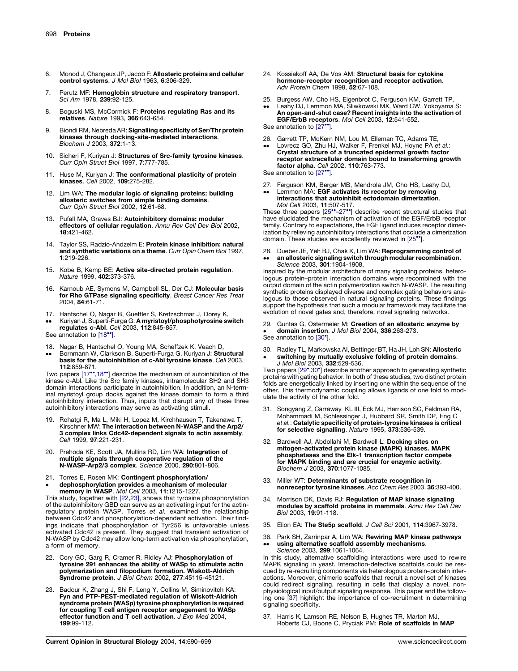- <span id="page-8-0"></span>6. Monod J, Changeux JP, Jacob F: Allosteric proteins and cellular control systems. J Mol Biol 1963, 6:306-329.
- 7. Perutz MF: Hemoglobin structure and respiratory transport. Sci Am 1978, 239:92-125.
- 8. Boguski MS, McCormick F: Proteins regulating Ras and its relatives. Nature 1993, 366:643-654.
- 9. Biondi RM, Nebreda AR: Signalling specificity of Ser/Thr protein kinases through docking-site-mediated interactions. Biochem J 2003, 372:1-13.
- 10. Sicheri F, Kuriyan J: Structures of Src-family tyrosine kinases. Curr Opin Struct Biol 1997, 7:777-785.
- 11. Huse M, Kuriyan J: The conformational plasticity of protein kinases. Cell 2002, 109:275-282.
- 12. Lim WA: The modular logic of signaling proteins: building allosteric switches from simple binding domains. Curr Opin Struct Biol 2002, 12:61-68.
- 13. Pufall MA, Graves BJ: Autoinhibitory domains: modular effectors of cellular regulation. Annu Rev Cell Dev Biol 2002, 18:421-462.
- 14. Taylor SS, Radzio-Andzelm E: Protein kinase inhibition: natural and synthetic variations on a theme. Curr Opin Chem Biol 1997, 1:219-226.
- 15. Kobe B, Kemp BE: Active site-directed protein regulation. Nature 1999, 402:373-376.
- 16. Karnoub AE, Symons M, Campbell SL, Der CJ: Molecular basis for Rho GTPase signaling specificity. Breast Cancer Res Treat 2004, 84:61-71.
- 17. Hantschel O, Nagar B, Guettler S, Kretzschmar J, Dorey K,
- $\bullet$  $\bullet$ Kuriyan J, Superti-Furga G: A myristoyl/phosphotyrosine switch regulates c-Abl. Cell 2003, 112:845-857. See annotation to [18\*'].
- 
- 18. Nagar B, Hantschel O, Young MA, Scheffzek K, Veach D,  $\bullet\bullet$ Bornmann W, Clarkson B, Superti-Furga G, Kuriyan J: Structural basis for the autoinhibition of c-Abl tyrosine kinase. Cell 2003, 112:859-871.

Two papers [17\*\*,18\*\*] describe the mechanism of autoinhibition of the kinase c-Abl. Like the Src family kinases, intramolecular SH2 and SH3 domain interactions participate in autoinhibition. In addition, an N-terminal myristoyl group docks against the kinase domain to form a third autoinhibitory interaction. Thus, inputs that disrupt any of these three autoinhibitory interactions may serve as activating stimuli.

- 19. Rohatgi R, Ma L, Miki H, Lopez M, Kirchhausen T, Takenawa T, Kirschner MW: The interaction between N-WASP and the Arp2/ 3 complex links Cdc42-dependent signals to actin assembly. Cell 1999, 97:221-231.
- 20. Prehoda KE, Scott JA, Mullins RD, Lim WA: Integration of multiple signals through cooperative regulation of the N-WASP-Arp2/3 complex. Science 2000, 290:801-806.
- 21. Torres E, Rosen MK: Contingent phosphorylation/  $\bullet$ dephosphorylation provides a mechanism of molecular memory in WASP. Mol Cell 2003, 11:1215-1227.

This study, together with [22,23], shows that tyrosine phosphorylation of the autoinhibitory GBD can serve as an activating input for the actinregulatory protein WASP. Torres et al. examined the relationship between Cdc42 and phosphorylation-dependent activation. Their findings indicate that phosphorylation of Tyr256 is unfavorable unless activated Cdc42 is present. They suggest that transient activation of N-WASP by Cdc42 may allow long-term activation via phosphorylation, a form of memory.

- 22. Cory GO, Garg R, Cramer R, Ridley AJ: Phosphorylation of tyrosine 291 enhances the ability of WASp to stimulate actin polymerization and filopodium formation. Wiskott-Aldrich Syndrome protein. J Biol Chem 2002, 277:45115-45121.
- 23. Badour K, Zhang J, Shi F, Leng Y, Collins M, Siminovitch KA: Fyn and PTP-PEST-mediated regulation of Wiskott-Aldrich syndrome protein (WASp) tyrosine phosphorylation is required for coupling T cell antigen receptor engagement to WASp effector function and  $\overline{T}$  cell activation. J Exp Med 2004, 199:99-112.
- 24. Kossiakoff AA, De Vos AM: Structural basis for cytokine hormone-receptor recognition and receptor activation. Adv Protein Chem 1998, 52:67-108.
- 25. 25. Burgess AW, Cho HS, Eigenbrot C, Ferguson KM, Garrett TP,<br>●● Leahy DJ, Lemmon MA, Sliwkowski MX, Ward CW, Yokoyama S:
- An open-and-shut case? Recent insights into the activation of EGF/ErbB receptors. Mol Cell 2003, 12:541-552. See annotation to [27"].

- 26.
- 26. Garrett TP, McKern NM, Lou M, Elleman TC, Adams TE,<br>•• Lovrecz GO, Zhu HJ, Walker F, Frenkel MJ, Hoyne PA *et al.*: Crystal structure of a truncated epidermal growth factor receptor extracellular domain bound to transforming growth factor alpha. Cell 2002, 110:763-773.

See annotation to [27\*].

27. Ferguson KM, Berger MB, Mendrola JM, Cho HS, Leahy DJ,

 $\bullet$  $\bullet$ Lemmon MA: EGF activates its receptor by removing interactions that autoinhibit ectodomain dimerization. Mol Cell 2003, 11:507-517.

These three papers [25\*\*-27\*\*] describe recent structural studies that have elucidated the mechanism of activation of the EGF/ErbB receptor family. Contrary to expectations, the EGF ligand induces receptor dimerization by relieving autoinhibitory interactions that occlude a dimerization domain. These studies are excellently reviewed in [25\*'].

#### 28. -- Dueber JE, Yeh BJ, Chak K, Lim WA: Reprogramming control of an allosteric signaling switch through modular recombination. Science 2003, 301:1904-1908.

Inspired by the modular architecture of many signaling proteins, heterologous protein–protein interaction domains were recombined with the output domain of the actin polymerization switch N-WASP. The resulting synthetic proteins displayed diverse and complex gating behaviors analogous to those observed in natural signaling proteins. These findings support the hypothesis that such a modular framework may facilitate the evolution of novel gates and, therefore, novel signaling networks.

#### 29. Guntas G, Ostermeier M: Creation of an allosteric enzyme by

• domain insertion.<br>See annotation to [30°]. domain insertion. J Mol Biol 2004, 336:263-273.

30. Radley TL, Markowska AI, Bettinger BT, Ha JH, Loh SN: Allosteric  $\bullet$ switching by mutually exclusive folding of protein domains. J Mol Biol 2003, 332:529-536.

Two papers [29°,30°] describe another approach to generating synthetic proteins with gating behavior. In both of these studies, two distinct protein folds are energetically linked by inserting one within the sequence of the other. This thermodynamic coupling allows ligands of one fold to modulate the activity of the other fold.

- 31. Songyang Z, Carraway KL III, Eck MJ, Harrison SC, Feldman RA, Mohammadi M, Schlessinger J, Hubbard SR, Smith DP, Eng C et al.: Catalytic specificity of protein-tyrosine kinases is critical for selective signalling. Nature 1995, 373:536-539.
- 32. Bardwell AJ, Abdollahi M, Bardwell L: Docking sites on mitogen-activated protein kinase (MAPK) kinases. MAPK phosphatases and the Elk-1 transcription factor compete for MAPK binding and are crucial for enzymic activity. Biochem J 2003, 370:1077-1085.
- 33. Miller WT: Determinants of substrate recognition in nonreceptor tyrosine kinases. Acc Chem Res 2003, 36:393-400.
- 34. Morrison DK, Davis RJ: Regulation of MAP kinase signaling modules by scaffold proteins in mammals. Annu Rev Cell Dev Biol 2003, 19:91-118.
- 35. Elion EA: The Ste5p scaffold. J Cell Sci 2001, 114:3967-3978.
- 36. Park SH, Zarrinpar A, Lim WA: Rewiring MAP kinase pathways  $\bullet$  $\bullet$ using alternative scaffold assembly mechanisms. Science 2003, 299:1061-1064.

In this study, alternative scaffolding interactions were used to rewire MAPK signaling in yeast. Interaction-defective scaffolds could be rescued by re-recruiting components via heterologous protein–protein interactions. Moreover, chimeric scaffolds that recruit a novel set of kinases could redirect signaling, resulting in cells that display a novel, nonphysiological input/output signaling response. This paper and the following one [37] highlight the importance of co-recruitment in determining signaling specificity.

37. Harris K, Lamson RE, Nelson B, Hughes TR, Marton MJ, Roberts CJ, Boone C, Pryciak PM: Role of scaffolds in MAP